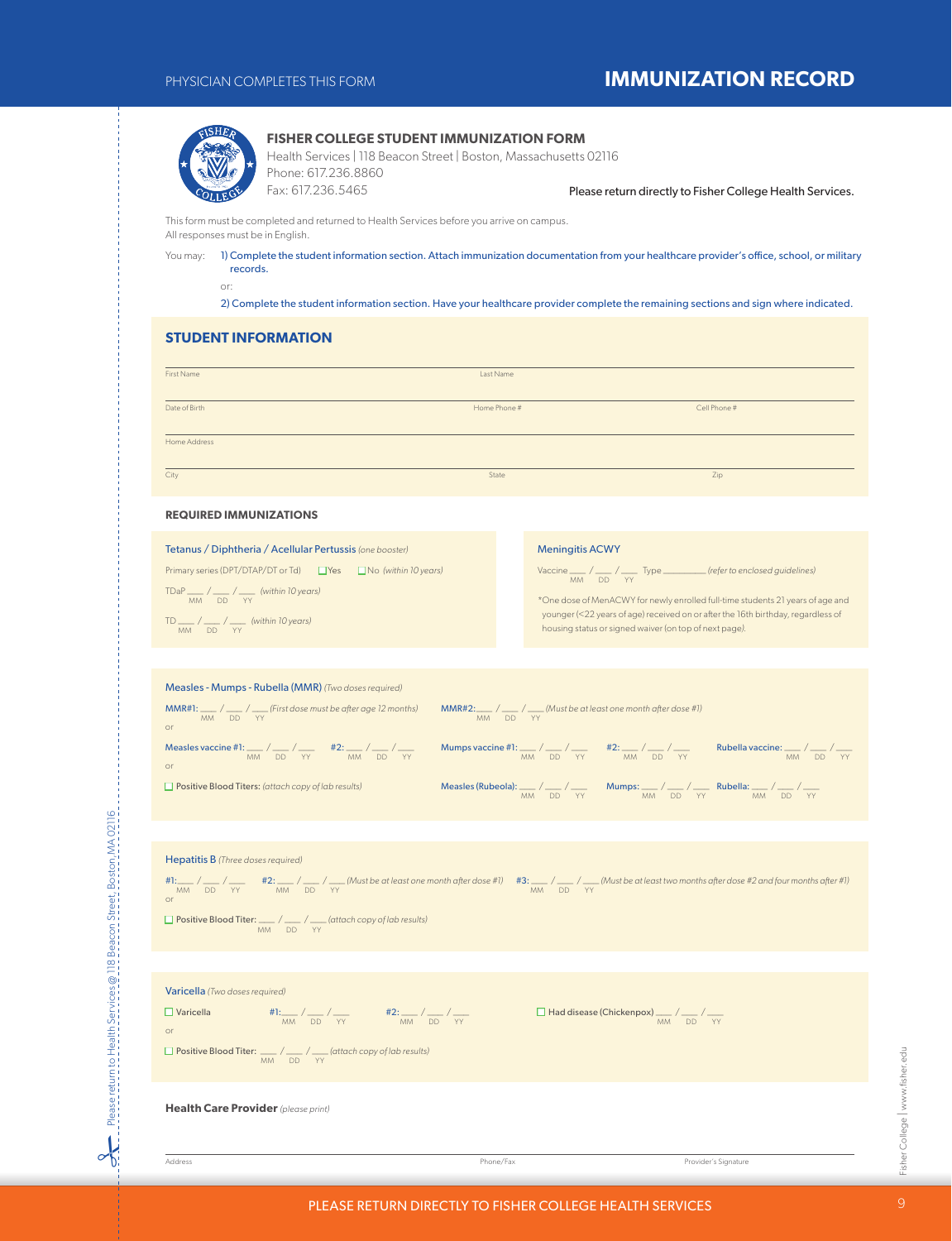# PHYSICIAN COMPLETES THIS FORM **IMMUNIZATION RECORD**



## **FISHER COLLEGE STUDENT IMMUNIZATION FORM**

Health Services | 118 Beacon Street | Boston, Massachusetts 02116 Phone: 617.236.8860 Fax: 617.236.5465

Please return directly to Fisher College Health Services.

This form must be completed and returned to Health Services before you arrive on campus. All responses must be in English.

You may: 1) Complete the student information section. Attach immunization documentation from your healthcare provider's office, school, or military records.

or:

2) Complete the student information section. Have your healthcare provider complete the remaining sections and sign where indicated.

## **STUDENT INFORMATION**

| First Name                                               | Last Name    |                        |
|----------------------------------------------------------|--------------|------------------------|
|                                                          |              |                        |
| Date of Birth                                            | Home Phone # | Cell Phone #           |
|                                                          |              |                        |
| Home Address                                             |              |                        |
| City                                                     | State        | Zip                    |
| <b>REQUIRED IMMUNIZATIONS</b>                            |              |                        |
| Tetanus / Diphtheria / Acellular Pertussis (one booster) |              | <b>Meningitis ACWY</b> |

Primary series (DPT/DTAP/DT or Td)  $\Box$  Yes  $\Box$  No *(within 10 years)* TDaP \_\_\_ / \_\_\_ / \_\_\_ *(within 10 years)* MM DD YY

TD  $\frac{1}{MN}$  /  $\frac{1}{DD}$  /  $\frac{1}{YY}$  (within 10 years)

## Meningitis ACWY

Vaccine  $\frac{1}{MM}$  /  $\frac{1}{DD}$  /  $\frac{1}{YY}$  Type  $\frac{1}{M}$  *(refer to enclosed guidelines)* 

\*One dose of MenACWY for newly enrolled full-time students 21 years of age and younger (<22 years of age) received on or after the 16th birthday, regardless of housing status or signed waiver (on top of next page*).*

| Measles - Mumps - Rubella (MMR) (Two doses required)                                                                                   |                                                                             |                                                                                                   |                                                       |
|----------------------------------------------------------------------------------------------------------------------------------------|-----------------------------------------------------------------------------|---------------------------------------------------------------------------------------------------|-------------------------------------------------------|
| <b>MMR#1:</b> $\frac{1}{\sqrt{2}}$ / $\frac{1}{\sqrt{2}}$ (First dose must be after age 12 months)<br><b>MM</b><br>DD YY<br>$\Omega$ r | $MMR#2:$ / __ / __ (Must be at least one month after dose #1)<br>MM DD YY   |                                                                                                   |                                                       |
| Measles vaccine #1: ___ / ___ / ___ #2: ___ / ___ / ___<br>MM DD YY<br><b>MM</b><br>DD YY<br>or                                        | Mumps vaccine #1: ___ / ___ / ___ #2: ___ / ___ / ___<br><b>MM</b><br>DD YY | <b>MM</b><br>DD.<br>YY                                                                            | Rubella vaccine: $\_\_\_\_\_\_\_$<br><b>MM</b><br>DD. |
| $\Box$ Positive Blood Titers: (attach copy of lab results)                                                                             | Measles (Rubeola): $\frac{1}{2}$ / $\frac{1}{2}$<br>DD YY<br><b>MM</b>      | Mumps: $\frac{1}{2}$ / $\frac{1}{2}$ Rubella: $\frac{1}{2}$ / $\frac{1}{2}$<br><b>MM</b><br>DD YY | <b>MM</b><br>DD.<br><b>YY</b>                         |

| <b>Hepatitis B</b> (Three doses required)<br>#1:___/ ___ / ___ / ____ / ____ / ___ / / ___ (Must be at least one month after dose #1) #3: ___ / ___ / / ___ (Must be at least two months after dose #2 and four months after #1)<br>MM DD YY MM DD YY<br><b>or</b> | MM DD YY                                                     |
|--------------------------------------------------------------------------------------------------------------------------------------------------------------------------------------------------------------------------------------------------------------------|--------------------------------------------------------------|
| $\Box$ Positive Blood Titer: $\Box$ / $\Box$ / $\Box$ (attach copy of lab results)<br>MM DD YY                                                                                                                                                                     |                                                              |
|                                                                                                                                                                                                                                                                    |                                                              |
| Varicella (Two doses required)                                                                                                                                                                                                                                     |                                                              |
| $\frac{\text{H1:}}{\text{MM}} / \frac{\text{AD}}{\text{AD}} / \frac{\text{YY}}{\text{YY}}$ $\frac{\text{H2:}}{\text{MM}} / \frac{\text{AD}}{\text{DD}} / \frac{\text{YY}}{\text{YY}}$<br>$\Box$ Varicella<br><b>or</b>                                             | $\Box$ Had disease (Chickenpox) ____ / ___ / ___<br>MM DD YY |
| □ Positive Blood Titer: <u>■ / ■ / </u> (attach copy of lab results)<br><b>MM</b><br>DD YY                                                                                                                                                                         |                                                              |
|                                                                                                                                                                                                                                                                    |                                                              |

**Health Care Provider** *(please print)*

Please return to Health Services @ 118 Beacon Street, Boston,MA 02116

Please return to Health Services @ 118 Beacon Street, Boston, MA 02116

 $\sim$ 

Address Phone/Fax Provider's Signature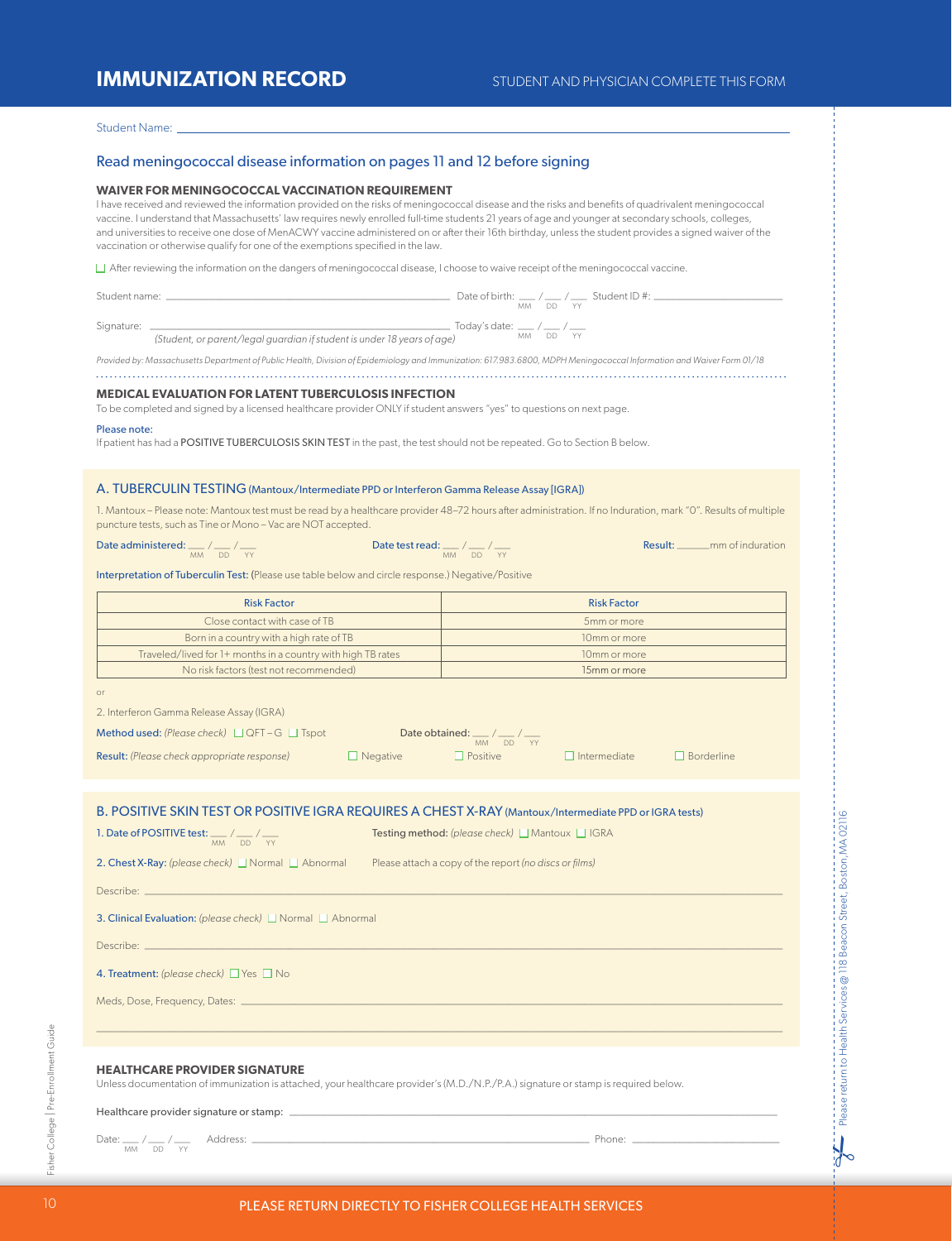# **IMMUNIZATION RECORD** STUDENT AND PHYSICIAN COMPLETE THIS FORM

## Student Name:

## Read meningococcal disease information on pages 11 and 12 before signing

## **WAIVER FOR MENINGOCOCCAL VACCINATION REQUIREMENT**

I have received and reviewed the information provided on the risks of meningococcal disease and the risks and benefits of quadrivalent meningococcal vaccine. I understand that Massachusetts' law requires newly enrolled full-time students 21 years of age and younger at secondary schools, colleges, and universities to receive one dose of MenACWY vaccine administered on or after their 16th birthday, unless the student provides a signed waiver of the vaccination or otherwise qualify for one of the exemptions specified in the law.

 $\Box$  After reviewing the information on the dangers of meningococcal disease, I choose to waive receipt of the meningococcal vaccine.

| Student name: | Date of birth: $\angle$ / Student ID#:<br>DD YY<br>МM        |
|---------------|--------------------------------------------------------------|
| Signature:    | Today's date: ___ / ___ / ___<br>$1.11.1$ $P_1 P_2$ $1.01.1$ |

*(Student, or parent/legal guardian if student is under 18 years of age)* MM DD YY

*Provided by: Massachusetts Department of Public Health, Division of Epidemiology and Immunization: 617.983.6800, MDPH Meningococcal Information and Waiver Form 01/18* 

## **MEDICAL EVALUATION FOR LATENT TUBERCULOSIS INFECTION**

To be completed and signed by a licensed healthcare provider ONLY if student answers "yes" to questions on next page.

#### Please note:

If patient has had a POSITIVE TUBERCULOSIS SKIN TEST in the past, the test should not be repeated. Go to Section B below.

## A. TUBERCULIN TESTING (Mantoux/Intermediate PPD or Interferon Gamma Release Assay [IGRA])

1. Mantoux – Please note: Mantoux test must be read by a healthcare provider 48–72 hours after administration. If no Induration, mark "0". Results of multiple puncture tests, such as Tine or Mono – Vac are NOT accepted.

Date administered:  $\frac{1}{100}$  /  $\frac{1}{100}$  /  $\frac{1}{100}$  /  $\frac{1}{100}$  /  $\frac{1}{100}$  /  $\frac{1}{100}$  /  $\frac{1}{100}$  Result: \_\_\_\_\_\_ mm of induration

# Date test read:  $\mu_{\text{MM}} / \frac{1}{\text{DD}} / \frac{1}{\text{YY}}$

Interpretation of Tuberculin Test: (Please use table below and circle response.) Negative/Positive

| <b>Risk Factor</b>                                           | <b>Risk Factor</b> |
|--------------------------------------------------------------|--------------------|
| Close contact with case of TB                                | 5mm or more        |
| Born in a country with a high rate of TB                     | 10mm or more       |
| Traveled/lived for 1+ months in a country with high TB rates | 10mm or more       |
| No risk factors (test not recommended)                       | 15mm or more       |

2. Interferon Gamma Release Assay (IGRA)

| <b>Method used:</b> (Please check) $\Box$ QFT – G $\Box$ Tspot |                 | Date obtained: $\_\_\_\_\_\_\_$<br>MM DD YY |                     |                   |
|----------------------------------------------------------------|-----------------|---------------------------------------------|---------------------|-------------------|
| <b>Result:</b> (Please check appropriate response)             | $\Box$ Negative | <b>I</b> Positive                           | $\Box$ Intermediate | $\Box$ Borderline |

|  |  |  |  |  | B. POSITIVE SKIN TEST OR POSITIVE IGRA REQUIRES A CHEST X-RAY (Mantoux/Intermediate PPD or IGRA tests) |
|--|--|--|--|--|--------------------------------------------------------------------------------------------------------|
|--|--|--|--|--|--------------------------------------------------------------------------------------------------------|

| 1. Date of POSITIVE test: $\frac{1}{2}$ / $\frac{1}{2}$ | <b>Testing method:</b> (please check) $\Box$ Mantoux $\Box$ IGRA |
|---------------------------------------------------------|------------------------------------------------------------------|
| MM DD YY                                                |                                                                  |

|  |  |  |  |  |  |  | <b>nest X-Ray:</b> (please check) L<br>I Normal I Abnormal |
|--|--|--|--|--|--|--|------------------------------------------------------------|
|--|--|--|--|--|--|--|------------------------------------------------------------|

2. Chest X-Ray: *(please check)*  $\Box$  Normal  $\Box$  Abnormal Please attach a copy of the report *(no discs or films)* 

Describe: \_\_\_\_\_\_\_\_\_\_\_\_\_\_\_\_\_\_\_\_\_\_\_\_\_\_\_\_\_\_\_\_\_\_\_\_\_\_\_\_\_\_\_\_\_\_\_\_\_\_\_\_\_\_\_\_\_\_\_\_\_\_\_\_\_\_\_\_\_\_\_\_\_\_\_\_\_\_\_\_\_\_\_\_\_\_\_\_\_\_\_\_\_\_\_\_\_\_\_\_\_\_\_\_\_\_\_\_\_\_\_\_\_\_\_\_\_\_\_

3. Clinical Evaluation: *(please check)* Normal **National National Abnormal** 

Describe: \_\_\_\_\_\_\_\_\_\_\_\_\_\_\_\_\_\_\_\_\_\_\_\_\_\_\_\_\_\_\_\_\_\_\_\_\_\_\_\_\_\_\_\_\_\_\_\_\_\_\_\_\_\_\_\_\_\_\_\_\_\_\_\_\_\_\_\_\_\_\_\_\_\_\_\_\_\_\_\_\_\_\_\_\_\_\_\_\_\_\_\_\_\_\_\_\_\_\_\_\_\_\_\_\_\_\_\_\_\_\_\_\_\_\_\_\_\_\_

4. Treatment: *(please check)* PYes n No

Meds, Dose, Frequency, Dates: \_

## **HEALTHCARE PROVIDER SIGNATURE**

Unless documentation of immunization is attached, your healthcare provider's (M.D./N.P./P.A.) signature or stamp is required below.

Healthcare provider signature or stamp:

Date: \_\_\_ / \_\_\_ / \_\_\_ Address: \_\_\_\_\_\_\_\_\_\_\_\_\_\_\_\_\_\_\_\_\_\_\_\_\_\_\_\_\_\_\_\_\_\_\_\_\_\_\_\_\_\_\_\_\_\_\_\_\_\_\_\_\_\_\_\_\_\_\_\_\_\_\_ Phone: \_\_\_\_\_\_\_\_\_\_\_\_\_\_\_\_\_\_\_\_\_\_\_\_\_\_\_\_ MM DD YY

 $\frac{1}{6}$ 

 $\ldots$  . The contribution of the contribution of the contribution of the contribution of the contribution of the contribution of the contribution of the contribution of the contribution of the contribution of the contribut

Fisher College | Pre-Enrollment Guide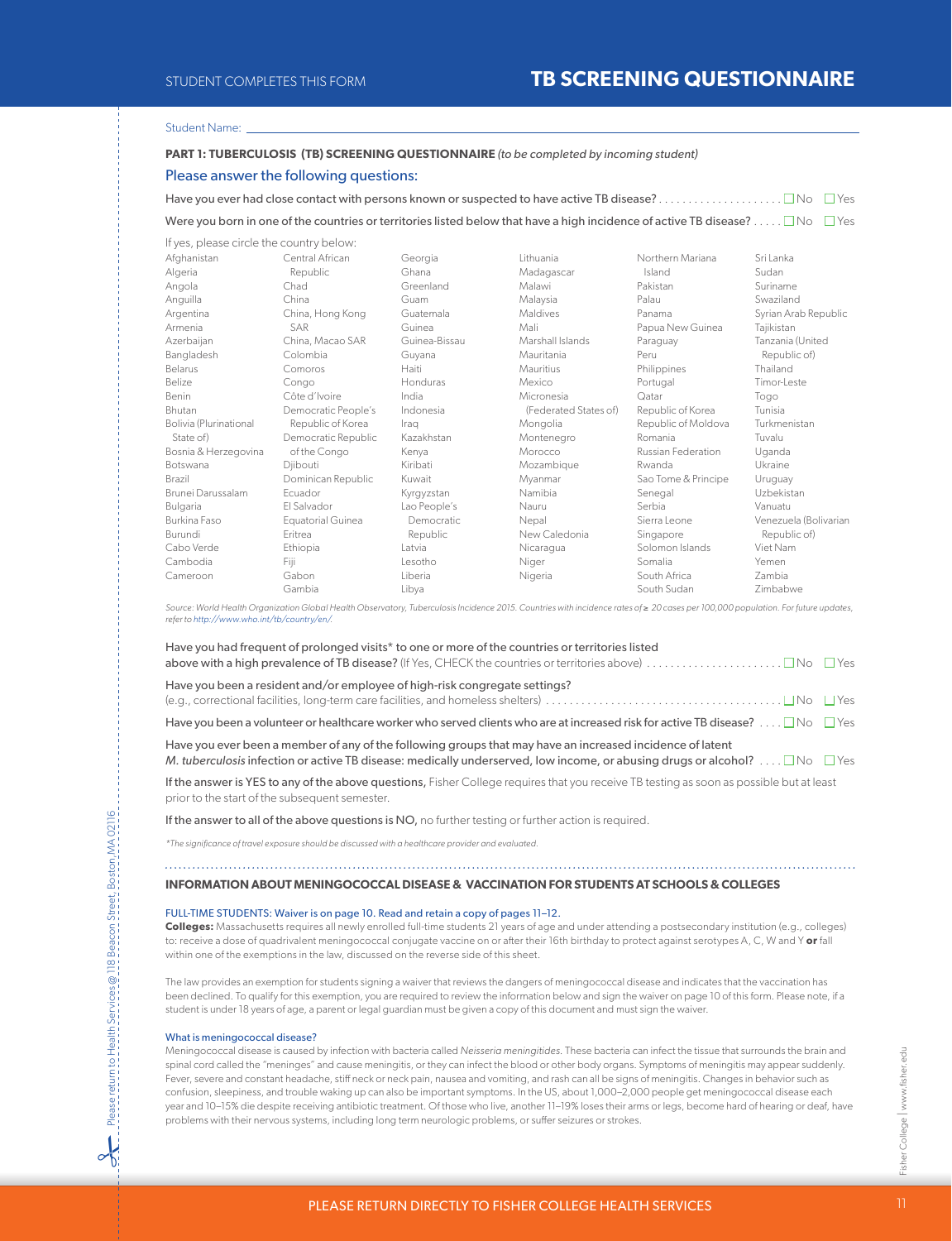## Student Name:

## **PART 1: TUBERCULOSIS (TB) SCREENING QUESTIONNAIRE** *(to be completed by incoming student)*

## Please answer the following questions:

| Were you born in one of the countries or territories listed below that have a high incidence of active TB disease? $\Box$ No $\Box$ Yes |  |
|-----------------------------------------------------------------------------------------------------------------------------------------|--|

| If yes, please circle the country below: |                          |                |                       |                     |                       |
|------------------------------------------|--------------------------|----------------|-----------------------|---------------------|-----------------------|
| Afghanistan                              | Central African          | Georgia        | <b>Lithuania</b>      | Northern Mariana    | Sri Lanka             |
| Algeria                                  | Republic                 | Ghana          | Madagascar            | Island              | Sudan                 |
| Angola                                   | Chad                     | Greenland      | Malawi                | Pakistan            | Suriname              |
| Anguilla                                 | China                    | Guam           | Malaysia              | Palau               | Swaziland             |
| Argentina                                | China, Hong Kong         | Guatemala      | <b>Maldives</b>       | Panama              | Syrian Arab Republic  |
| Armenia                                  | <b>SAR</b>               | Guinea         | Mali                  | Papua New Guinea    | Tajikistan            |
| Azerbaijan                               | China, Macao SAR         | Guinea-Bissau  | Marshall Islands      | Paraguay            | Tanzania (United      |
| Bangladesh                               | Colombia                 | Guyana         | Mauritania            | Peru                | Republic of)          |
| Belarus                                  | Comoros                  | Haiti          | Mauritius             | Philippines         | Thailand              |
| Belize                                   | Congo                    | Honduras       | Mexico                | Portugal            | Timor-Leste           |
| Benin                                    | Côte d'Ivoire            | India          | Micronesia            | Qatar               | Togo                  |
| <b>Bhutan</b>                            | Democratic People's      | Indonesia      | (Federated States of) | Republic of Korea   | Tunisia               |
| Bolivia (Plurinational                   | Republic of Korea        | Iraq           | Mongolia              | Republic of Moldova | Turkmenistan          |
| State of)                                | Democratic Republic      | Kazakhstan     | Montenegro            | Romania             | Tuvalu                |
| Bosnia & Herzegovina                     | of the Congo             | Kenya          | Morocco               | Russian Federation  | Uganda                |
| Botswana                                 | Diibouti                 | Kiribati       | Mozambique            | Rwanda              | Ukraine               |
| Brazil                                   | Dominican Republic       | Kuwait         | Myanmar               | Sao Tome & Principe | Uruguay               |
| Brunei Darussalam                        | Ecuador                  | Kyrgyzstan     | Namibia               | Senegal             | Uzbekistan            |
| Bulgaria                                 | El Salvador              | Lao People's   | Nauru                 | Serbia              | Vanuatu               |
| Burkina Faso                             | <b>Equatorial Guinea</b> | Democratic     | Nepal                 | Sierra Leone        | Venezuela (Bolivarian |
| Burundi                                  | Eritrea                  | Republic       | New Caledonia         | Singapore           | Republic of)          |
| Cabo Verde                               | Ethiopia                 | Latvia         | Nicaragua             | Solomon Islands     | Viet Nam              |
| Cambodia                                 | Fiji                     | Lesotho        | Niger                 | Somalia             | Yemen                 |
| Cameroon                                 | Gabon                    | <b>Liberia</b> | Nigeria               | South Africa        | <b>Zambia</b>         |
|                                          | Gambia                   | Libva          |                       | South Sudan         | 7imbabwe              |

*Source: World Health Organization Global Health Observatory, Tuberculosis Incidence 2015. Countries with incidence rates of* ≥ *20 cases per 100,000 population. For future updates, refer to http://www.who.int/tb/country/en/.*

| Have you had frequent of prolonged visits* to one or more of the countries or territories listed                                                                                                                                                  |  |
|---------------------------------------------------------------------------------------------------------------------------------------------------------------------------------------------------------------------------------------------------|--|
| Have you been a resident and/or employee of high-risk congregate settings?                                                                                                                                                                        |  |
| Have you been a volunteer or healthcare worker who served clients who are at increased risk for active TB disease? $\Box$ No $\Box$ Yes                                                                                                           |  |
| Have you ever been a member of any of the following groups that may have an increased incidence of latent<br>M. tuberculosis infection or active TB disease: medically underserved, low income, or abusing drugs or alcohol? $\Box$ No $\Box$ Yes |  |
| If the answer is YES to any of the above questions, Fisher College requires that you receive TB testing as soon as possible but at least<br>prior to the start of the subsequent semester.                                                        |  |

If the answer to all of the above questions is NO, no further testing or further action is required.

*\*The significance of travel exposure should be discussed with a healthcare provider and evaluated.*

## **INFORMATION ABOUT MENINGOCOCCAL DISEASE & VACCINATION FOR STUDENTS AT SCHOOLS & COLLEGES**

## FULL-TIME STUDENTS: Waiver is on page 10. Read and retain a copy of pages 11–12.

**Colleges:** Massachusetts requires all newly enrolled full-time students 21 years of age and under attending a postsecondary institution (e.g., colleges) to: receive a dose of quadrivalent meningococcal conjugate vaccine on or after their 16th birthday to protect against serotypes A, C, W and Y **or** fall within one of the exemptions in the law, discussed on the reverse side of this sheet.

The law provides an exemption for students signing a waiver that reviews the dangers of meningococcal disease and indicates that the vaccination has been declined. To qualify for this exemption, you are required to review the information below and sign the waiver on page 10 of this form. Please note, if a student is under 18 years of age, a parent or legal guardian must be given a copy of this document and must sign the waiver.

#### What is meningococcal disease?

Please return to Health Services @ 118 Beacon Street, Boston,MA 02116

Please return to Health Services @ 118 Beacon Street, Boston, MA 02116

8

Meningococcal disease is caused by infection with bacteria called *Neisseria meningitides*. These bacteria can infect the tissue that surrounds the brain and spinal cord called the "meninges" and cause meningitis, or they can infect the blood or other body organs. Symptoms of meningitis may appear suddenly. Fever, severe and constant headache, stiff neck or neck pain, nausea and vomiting, and rash can all be signs of meningitis. Changes in behavior such as confusion, sleepiness, and trouble waking up can also be important symptoms. In the US, about 1,000–2,000 people get meningococcal disease each year and 10–15% die despite receiving antibiotic treatment. Of those who live, another 11–19% loses their arms or legs, become hard of hearing or deaf, have problems with their nervous systems, including long term neurologic problems, or suffer seizures or strokes.